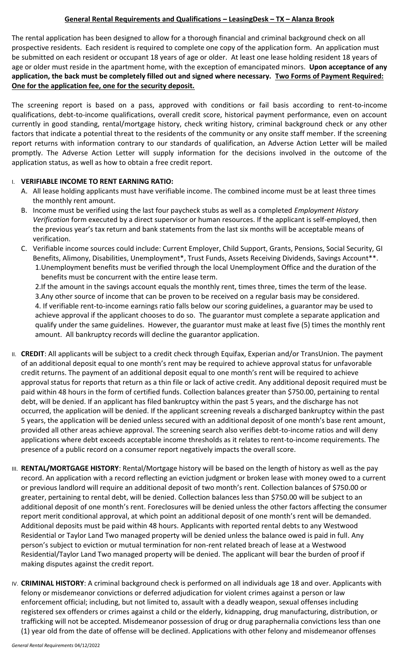## **General Rental Requirements and Qualifications – LeasingDesk – TX – Alanza Brook**

The rental application has been designed to allow for a thorough financial and criminal background check on all prospective residents. Each resident is required to complete one copy of the application form. An application must be submitted on each resident or occupant 18 years of age or older. At least one lease holding resident 18 years of age or older must reside in the apartment home, with the exception of emancipated minors. **Upon acceptance of any application, the back must be completely filled out and signed where necessary. Two Forms of Payment Required: One for the application fee, one for the security deposit.**

The screening report is based on a pass, approved with conditions or fail basis according to rent-to-income qualifications, debt-to-income qualifications, overall credit score, historical payment performance, even on account currently in good standing, rental/mortgage history, check writing history, criminal background check or any other factors that indicate a potential threat to the residents of the community or any onsite staff member. If the screening report returns with information contrary to our standards of qualification, an Adverse Action Letter will be mailed promptly. The Adverse Action Letter will supply information for the decisions involved in the outcome of the application status, as well as how to obtain a free credit report.

## I. **VERIFIABLE INCOME TO RENT EARNING RATIO:**

- A. All lease holding applicants must have verifiable income. The combined income must be at least three times the monthly rent amount.
- B. Income must be verified using the last four paycheck stubs as well as a completed *Employment History Verification* form executed by a direct supervisor or human resources. If the applicant is self-employed, then the previous year's tax return and bank statements from the last six months will be acceptable means of verification.
- C. Verifiable income sources could include: Current Employer, Child Support, Grants, Pensions, Social Security, GI Benefits, Alimony, Disabilities, Unemployment\*, Trust Funds, Assets Receiving Dividends, Savings Account\*\*. 1.Unemployment benefits must be verified through the local Unemployment Office and the duration of the benefits must be concurrent with the entire lease term.

2.If the amount in the savings account equals the monthly rent, times three, times the term of the lease. 3.Any other source of income that can be proven to be received on a regular basis may be considered. 4. If verifiable rent-to-income earnings ratio falls below our scoring guidelines, a guarantor may be used to achieve approval if the applicant chooses to do so. The guarantor must complete a separate application and qualify under the same guidelines. However, the guarantor must make at least five (5) times the monthly rent amount. All bankruptcy records will decline the guarantor application.

- II. CREDIT: All applicants will be subject to a credit check through Equifax, Experian and/or TransUnion. The payment of an additional deposit equal to one month's rent may be required to achieve approval status for unfavorable credit returns. The payment of an additional deposit equal to one month's rent will be required to achieve approval status for reports that return as a thin file or lack of active credit. Any additional deposit required must be paid within 48 hours in the form of certified funds. Collection balances greater than \$750.00, pertaining to rental debt, will be denied. If an applicant has filed bankruptcy within the past 5 years, and the discharge has not occurred, the application will be denied. If the applicant screening reveals a discharged bankruptcy within the past 5 years, the application will be denied unless secured with an additional deposit of one month's base rent amount, provided all other areas achieve approval. The screening search also verifies debt-to-income ratios and will deny applications where debt exceeds acceptable income thresholds as it relates to rent-to-income requirements. The presence of a public record on a consumer report negatively impacts the overall score.
- III. **RENTAL/MORTGAGE HISTORY**: Rental/Mortgage history will be based on the length of history as well as the pay record. An application with a record reflecting an eviction judgment or broken lease with money owed to a current or previous landlord will require an additional deposit of two month's rent. Collection balances of \$750.00 or greater, pertaining to rental debt, will be denied. Collection balances less than \$750.00 will be subject to an additional deposit of one month's rent. Foreclosures will be denied unless the other factors affecting the consumer report merit conditional approval, at which point an additional deposit of one month's rent will be demanded. Additional deposits must be paid within 48 hours. Applicants with reported rental debts to any Westwood Residential or Taylor Land Two managed property will be denied unless the balance owed is paid in full. Any person's subject to eviction or mutual termination for non-rent related breach of lease at a Westwood Residential/Taylor Land Two managed property will be denied. The applicant will bear the burden of proof if making disputes against the credit report.
- IV. **CRIMINAL HISTORY**: A criminal background check is performed on all individuals age 18 and over. Applicants with felony or misdemeanor convictions or deferred adjudication for violent crimes against a person or law enforcement official; including, but not limited to, assault with a deadly weapon, sexual offenses including registered sex offenders or crimes against a child or the elderly, kidnapping, drug manufacturing, distribution, or trafficking will not be accepted. Misdemeanor possession of drug or drug paraphernalia convictions less than one (1) year old from the date of offense will be declined. Applications with other felony and misdemeanor offenses